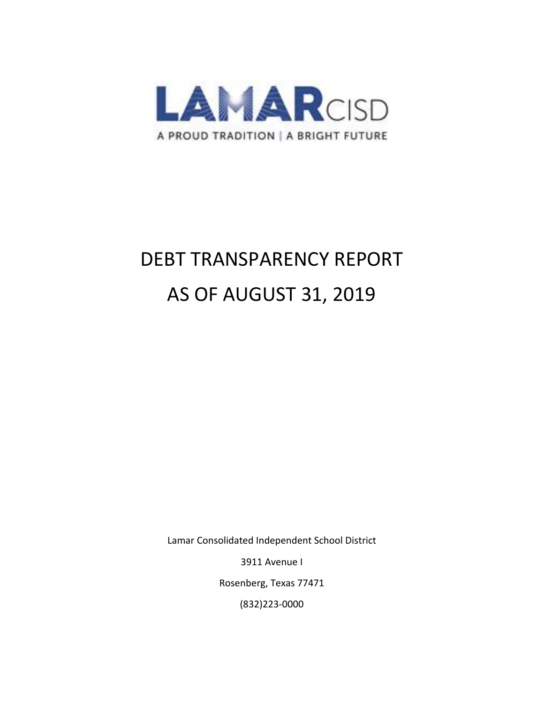

# DEBT TRANSPARENCY REPORT AS OF AUGUST 31, 2019

Lamar Consolidated Independent School District

3911 Avenue I

Rosenberg, Texas 77471

(832)223-0000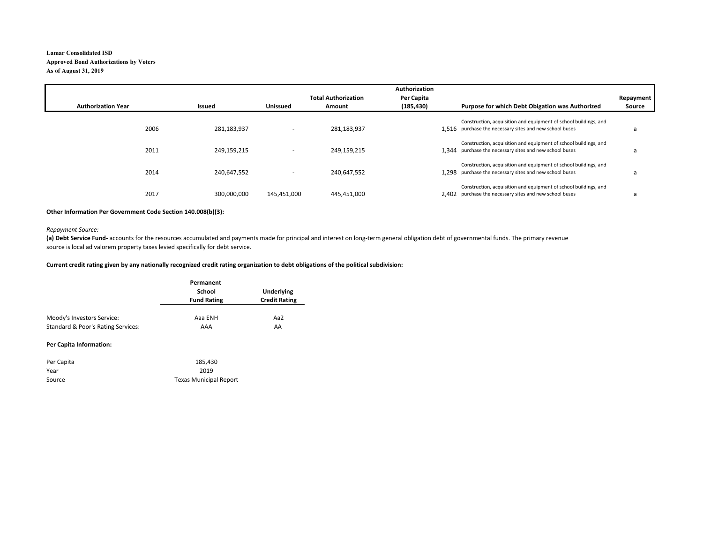#### **Lamar Consolidated ISD Approved Bond Authorizations by Voters As of August 31, 2019**

|                           |             |                          |                            | Authorization |                                                                                                                             |           |
|---------------------------|-------------|--------------------------|----------------------------|---------------|-----------------------------------------------------------------------------------------------------------------------------|-----------|
|                           |             |                          | <b>Total Authorization</b> | Per Capita    |                                                                                                                             | Repayment |
| <b>Authorization Year</b> | Issued      | <b>Unissued</b>          | Amount                     | (185, 430)    | Purpose for which Debt Obigation was Authorized                                                                             | Source    |
| 2006                      | 281,183,937 |                          | 281.183.937                |               | Construction, acquisition and equipment of school buildings, and<br>1.516 purchase the necessary sites and new school buses | a         |
| 2011                      | 249,159,215 |                          | 249.159.215                | 1.344         | Construction, acquisition and equipment of school buildings, and<br>purchase the necessary sites and new school buses       | a         |
| 2014                      | 240,647,552 | $\overline{\phantom{a}}$ | 240,647,552                |               | Construction, acquisition and equipment of school buildings, and<br>1.298 purchase the necessary sites and new school buses | a         |
| 2017                      | 300,000,000 | 145,451,000              | 445,451,000                |               | Construction, acquisition and equipment of school buildings, and<br>2.402 purchase the necessary sites and new school buses | a         |

#### **Other Information Per Government Code Section 140.008(b)(3):**

#### *Repayment Source:*

**(a) Debt Service Fund-** accounts for the resources accumulated and payments made for principal and interest on long-term general obligation debt of governmental funds. The primary revenue source is local ad valorem property taxes levied specifically for debt service.

#### **Current credit rating given by any nationally recognized credit rating organization to debt obligations of the political subdivision:**

|                                                                  | Permanent<br>School<br><b>Fund Rating</b> | Underlying<br><b>Credit Rating</b> |  |  |
|------------------------------------------------------------------|-------------------------------------------|------------------------------------|--|--|
| Moody's Investors Service:<br>Standard & Poor's Rating Services: | Aaa ENH<br>AAA                            | Aa2<br>AA                          |  |  |
| Per Capita Information:                                          |                                           |                                    |  |  |

| Per Capita | 185.430                       |
|------------|-------------------------------|
| Year       | 2019                          |
| Source     | <b>Texas Municipal Report</b> |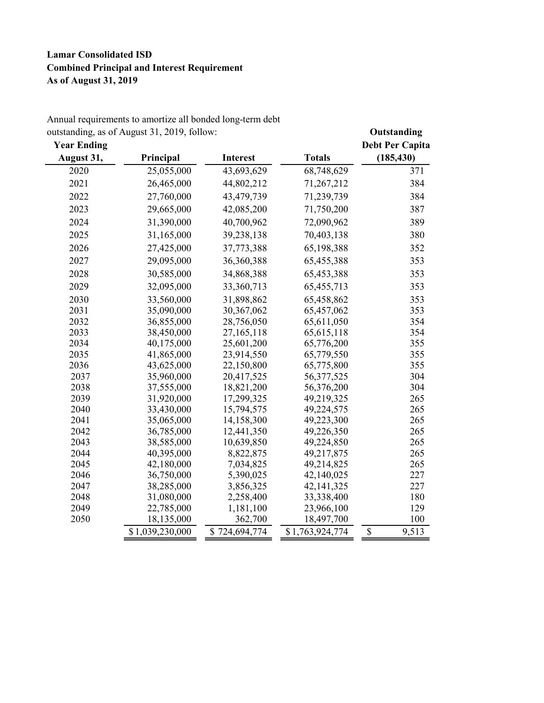## **Lamar Consolidated ISD Combined Principal and Interest Requirement As of August 31, 2019**

| Annual requirements to amortize all bonded long-term debt |
|-----------------------------------------------------------|
| outstanding, as of August 31, 2019, follow:               |

|                    | outstanding, as of August 31, 2019, follow: |                 |                 | Outstanding            |
|--------------------|---------------------------------------------|-----------------|-----------------|------------------------|
| <b>Year Ending</b> |                                             |                 |                 | <b>Debt Per Capita</b> |
| August 31,         | Principal                                   | <b>Interest</b> | <b>Totals</b>   | (185, 430)             |
| 2020               | 25,055,000                                  | 43,693,629      | 68,748,629      | 371                    |
| 2021               | 26,465,000                                  | 44,802,212      | 71,267,212      | 384                    |
| 2022               | 27,760,000                                  | 43,479,739      | 71,239,739      | 384                    |
| 2023               | 29,665,000                                  | 42,085,200      | 71,750,200      | 387                    |
| 2024               | 31,390,000                                  | 40,700,962      | 72,090,962      | 389                    |
| 2025               | 31,165,000                                  | 39,238,138      | 70,403,138      | 380                    |
| 2026               | 27,425,000                                  | 37,773,388      | 65,198,388      | 352                    |
| 2027               | 29,095,000                                  | 36,360,388      | 65,455,388      | 353                    |
| 2028               | 30,585,000                                  | 34,868,388      | 65,453,388      | 353                    |
| 2029               | 32,095,000                                  | 33,360,713      | 65,455,713      | 353                    |
| 2030               | 33,560,000                                  | 31,898,862      | 65,458,862      | 353                    |
| 2031               | 35,090,000                                  | 30,367,062      | 65,457,062      | 353                    |
| 2032               | 36,855,000                                  | 28,756,050      | 65,611,050      | 354                    |
| 2033               | 38,450,000                                  | 27,165,118      | 65, 615, 118    | 354                    |
| 2034               | 40,175,000                                  | 25,601,200      | 65,776,200      | 355                    |
| 2035               | 41,865,000                                  | 23,914,550      | 65,779,550      | 355                    |
| 2036               | 43,625,000                                  | 22,150,800      | 65,775,800      | 355                    |
| 2037               | 35,960,000                                  | 20,417,525      | 56,377,525      | 304                    |
| 2038               | 37,555,000                                  | 18,821,200      | 56,376,200      | 304                    |
| 2039               | 31,920,000                                  | 17,299,325      | 49,219,325      | 265                    |
| 2040               | 33,430,000                                  | 15,794,575      | 49,224,575      | 265                    |
| 2041               | 35,065,000                                  | 14,158,300      | 49,223,300      | 265                    |
| 2042               | 36,785,000                                  | 12,441,350      | 49,226,350      | 265                    |
| 2043               | 38,585,000                                  | 10,639,850      | 49,224,850      | 265                    |
| 2044               | 40,395,000                                  | 8,822,875       | 49,217,875      | 265                    |
| 2045               | 42,180,000                                  | 7,034,825       | 49,214,825      | 265                    |
| 2046               | 36,750,000                                  | 5,390,025       | 42,140,025      | 227                    |
| 2047               | 38,285,000                                  | 3,856,325       | 42,141,325      | 227                    |
| 2048               | 31,080,000                                  | 2,258,400       | 33,338,400      | 180                    |
| 2049               | 22,785,000                                  | 1,181,100       | 23,966,100      | 129                    |
| 2050               | 18,135,000                                  | 362,700         | 18,497,700      | 100                    |
|                    | \$1,039,230,000                             | \$724,694,774   | \$1,763,924,774 | \$<br>9,513            |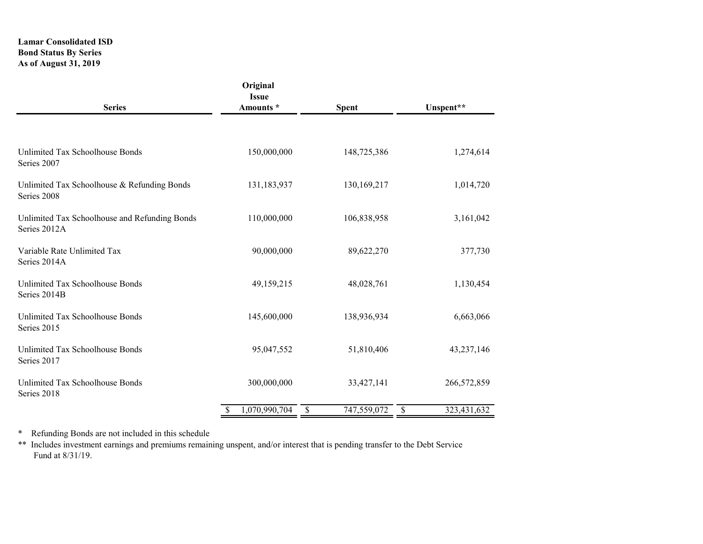## **Lamar Consolidated ISD Bond Status By Series As of August 31, 2019**

| <b>Series</b>                                                 | Original<br><b>Issue</b><br>Amounts * | <b>Spent</b>      | Unspent**         |
|---------------------------------------------------------------|---------------------------------------|-------------------|-------------------|
|                                                               |                                       |                   |                   |
| Unlimited Tax Schoolhouse Bonds<br>Series 2007                | 150,000,000                           | 148,725,386       | 1,274,614         |
| Unlimited Tax Schoolhouse & Refunding Bonds<br>Series 2008    | 131,183,937                           | 130,169,217       | 1,014,720         |
| Unlimited Tax Schoolhouse and Refunding Bonds<br>Series 2012A | 110,000,000                           | 106,838,958       | 3,161,042         |
| Variable Rate Unlimited Tax<br>Series 2014A                   | 90,000,000                            | 89,622,270        | 377,730           |
| Unlimited Tax Schoolhouse Bonds<br>Series 2014B               | 49,159,215                            | 48,028,761        | 1,130,454         |
| Unlimited Tax Schoolhouse Bonds<br>Series 2015                | 145,600,000                           | 138,936,934       | 6,663,066         |
| Unlimited Tax Schoolhouse Bonds<br>Series 2017                | 95,047,552                            | 51,810,406        | 43,237,146        |
| Unlimited Tax Schoolhouse Bonds<br>Series 2018                | 300,000,000                           | 33,427,141        | 266,572,859       |
|                                                               | 1,070,990,704<br>\$                   | 747,559,072<br>\$ | 323,431,632<br>\$ |

\* Refunding Bonds are not included in this schedule

\*\* Includes investment earnings and premiums remaining unspent, and/or interest that is pending transfer to the Debt Service Fund at 8/31/19.